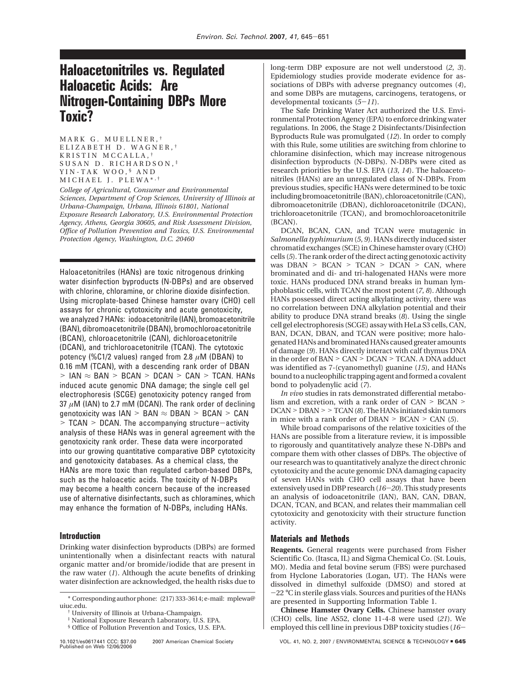# **Haloacetonitriles vs. Regulated Haloacetic Acids: Are Nitrogen-Containing DBPs More Toxic?**

MARK G. MUELLNER, † ELIZABETH D. WAGNER, † KRISTIN MCCALLA, † SUSAN D. RICHARDSON, ‡ YIN-TAK WOO, § AND MICHAEL J. PLEWA\* , †

*College of Agricultural, Consumer and Environmental Sciences, Department of Crop Sciences, University of Illinois at Urbana-Champaign, Urbana, Illinois 61801, National Exposure Research Laboratory, U.S. Environmental Protection Agency, Athens, Georgia 30605, and Risk Assessment Division, Office of Pollution Prevention and Toxics, U.S. Environmental Protection Agency, Washington, D.C. 20460*

Haloacetonitriles (HANs) are toxic nitrogenous drinking water disinfection byproducts (N-DBPs) and are observed with chlorine, chloramine, or chlorine dioxide disinfection. Using microplate-based Chinese hamster ovary (CHO) cell assays for chronic cytotoxicity and acute genotoxicity, we analyzed 7 HANs: iodoacetonitrile (IAN), bromoacetonitrile (BAN), dibromoacetonitrile (DBAN), bromochloroacetonitrile (BCAN), chloroacetonitrile (CAN), dichloroacetonitrile (DCAN), and trichloroacetonitrile (TCAN). The cytotoxic potency (%C1/2 values) ranged from 2.8 *µ*M (DBAN) to 0.16 mM (TCAN), with a descending rank order of DBAN  $>$  IAN  $\approx$  BAN  $>$  BCAN  $>$  DCAN  $>$  CAN  $>$  TCAN. HANs induced acute genomic DNA damage; the single cell gel electrophoresis (SCGE) genotoxicity potency ranged from 37 *µ*M (IAN) to 2.7 mM (DCAN). The rank order of declining genotoxicity was  $IAN > BAN \approx DBAN > BCAN > CAN$  $>$  TCAN  $>$  DCAN. The accompanying structure-activity analysis of these HANs was in general agreement with the genotoxicity rank order. These data were incorporated into our growing quantitative comparative DBP cytotoxicity and genotoxicity databases. As a chemical class, the HANs are more toxic than regulated carbon-based DBPs, such as the haloacetic acids. The toxicity of N-DBPs may become a health concern because of the increased use of alternative disinfectants, such as chloramines, which may enhance the formation of N-DBPs, including HANs.

# **Introduction**

Drinking water disinfection byproducts (DBPs) are formed unintentionally when a disinfectant reacts with natural organic matter and/or bromide/iodide that are present in the raw water (*1*). Although the acute benefits of drinking water disinfection are acknowledged, the health risks due to long-term DBP exposure are not well understood (*2*, *3*). Epidemiology studies provide moderate evidence for associations of DBPs with adverse pregnancy outcomes (*4*), and some DBPs are mutagens, carcinogens, teratogens, or developmental toxicants (*5*-*11*).

The Safe Drinking Water Act authorized the U.S. Environmental Protection Agency (EPA) to enforce drinking water regulations. In 2006, the Stage 2 Disinfectants/Disinfection Byproducts Rule was promulgated (*12*). In order to comply with this Rule, some utilities are switching from chlorine to chloramine disinfection, which may increase nitrogenous disinfection byproducts (N-DBPs). N-DBPs were cited as research priorities by the U.S. EPA (*13*, *14*). The haloacetonitriles (HANs) are an unregulated class of N-DBPs. From previous studies, specific HANs were determined to be toxic including bromoacetonitrile (BAN), chloroacetonitrile (CAN), dibromoacetonitrile (DBAN), dichloroacetonitrile (DCAN), trichloroacetonitrile (TCAN), and bromochloroacetonitrile (BCAN).

DCAN, BCAN, CAN, and TCAN were mutagenic in *Salmonella typhimurium* (*5*, *9*). HANs directly induced sister chromatid exchanges (SCE) in Chinese hamster ovary (CHO) cells (*5*). The rank order of the direct acting genotoxic activity was  $DBAN > BCAN > TCAN > DCAN > CAN$ , where brominated and di- and tri-halogenated HANs were more toxic. HANs produced DNA strand breaks in human lymphoblastic cells, with TCAN the most potent (*7*, *8*). Although HANs possessed direct acting alkylating activity, there was no correlation between DNA alkylation potential and their ability to produce DNA strand breaks (*8*). Using the single cell gel electrophoresis (SCGE) assay with HeLa S3 cells, CAN, BAN, DCAN, DBAN, and TCAN were positive; more halogenated HANs and brominated HANs caused greater amounts of damage (*9*). HANs directly interact with calf thymus DNA in the order of BAN > CAN > DCAN > TCAN. A DNA adduct was identified as 7-(cyanomethyl) guanine (*15*), and HANs bound to a nucleophilic trapping agent and formed a covalent bond to polyadenylic acid (*7*).

*In vivo* studies in rats demonstrated differential metabolism and excretion, with a rank order of CAN > BCAN > DCAN > DBAN > > TCAN (*8*). The HANs initiated skin tumors in mice with a rank order of DBAN > BCAN > CAN (*5*).

While broad comparisons of the relative toxicities of the HANs are possible from a literature review, it is impossible to rigorously and quantitatively analyze these N-DBPs and compare them with other classes of DBPs. The objective of our research was to quantitatively analyze the direct chronic cytotoxicity and the acute genomic DNA damaging capacity of seven HANs with CHO cell assays that have been extensively used in DBP research (*16*-*20*). This study presents an analysis of iodoacetonitrile (IAN), BAN, CAN, DBAN, DCAN, TCAN, and BCAN, and relates their mammalian cell cytotoxicity and genotoxicity with their structure function activity.

#### **Materials and Methods**

**Reagents.** General reagents were purchased from Fisher Scientific Co. (Itasca, IL) and Sigma Chemical Co. (St. Louis, MO). Media and fetal bovine serum (FBS) were purchased from Hyclone Laboratories (Logan, UT). The HANs were dissolved in dimethyl sulfoxide (DMSO) and stored at -<sup>22</sup> °C in sterile glass vials. Sources and purities of the HANs are presented in Supporting Information Table 1.

**Chinese Hamster Ovary Cells.** Chinese hamster ovary (CHO) cells, line AS52, clone 11-4-8 were used (*21*). We employed this cell line in previous DBP toxicity studies (*16*-

10.1021/es0617441 CCC: \$37.00 2007 American Chemical Society VOL. 41, NO. 2, 2007 / ENVIRONMENTAL SCIENCE & TECHNOLOGY <sup>9</sup> **645**

<sup>\*</sup> Corresponding author phone: (217) 333-3614; e-mail: mplewa@ uiuc.edu.

<sup>†</sup> University of Illinois at Urbana-Champaign.

<sup>‡</sup> National Exposure Research Laboratory, U.S. EPA.

<sup>§</sup> Office of Pollution Prevention and Toxics, U.S. EPA.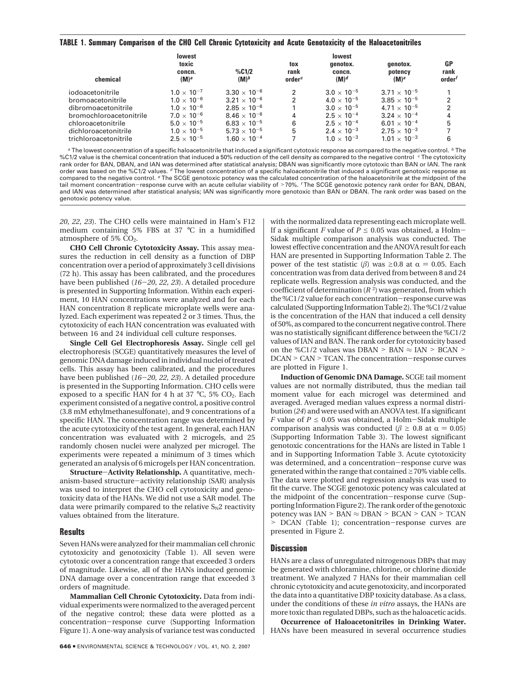## **TABLE 1. Summary Comparison of the CHO Cell Chronic Cytotoxicity and Acute Genotoxicity of the Haloacetonitriles**

| chemical                | lowest<br>toxic<br>concn.<br>$(M)^a$ | %C1/2<br>$(M)^b$      | tox<br>rank<br>order <sup>c</sup> | <b>lowest</b><br>genotox.<br>concn.<br>$(M)^d$ | genotox.<br>potency<br>$(M)^e$ | <b>GP</b><br>rank<br>order <sup>f</sup> |
|-------------------------|--------------------------------------|-----------------------|-----------------------------------|------------------------------------------------|--------------------------------|-----------------------------------------|
| iodoacetonitrile        | $1.0 \times 10^{-7}$                 | $3.30 \times 10^{-6}$ | 2                                 | $3.0 \times 10^{-5}$                           | $3.71 \times 10^{-5}$          |                                         |
| bromoacetonitrile       | $1.0 \times 10^{-6}$                 | $3.21 \times 10^{-6}$ | 2                                 | $4.0 \times 10^{-5}$                           | $3.85 \times 10^{-5}$          | 2                                       |
| dibromoacetonitrile     | $1.0 \times 10^{-6}$                 | $2.85 \times 10^{-6}$ |                                   | $3.0 \times 10^{-5}$                           | $4.71 \times 10^{-5}$          | $\mathcal{P}$                           |
| bromochloroacetonitrile | $7.0 \times 10^{-6}$                 | $8.46 \times 10^{-6}$ | 4                                 | $2.5 \times 10^{-4}$                           | $3.24 \times 10^{-4}$          | 4                                       |
| chloroacetonitrile      | $5.0 \times 10^{-5}$                 | $6.83 \times 10^{-5}$ | 6                                 | $2.5 \times 10^{-4}$                           | $6.01 \times 10^{-4}$          | 5                                       |
| dichloroacetonitrile    | $1.0 \times 10^{-5}$                 | $5.73 \times 10^{-5}$ | 5                                 | $2.4 \times 10^{-3}$                           | $2.75 \times 10^{-3}$          |                                         |
| trichloroacetonitrile   | $2.5 \times 10^{-5}$                 | $1.60 \times 10^{-4}$ |                                   | $1.0 \times 10^{-3}$                           | $1.01 \times 10^{-3}$          | 6                                       |

<sup>a</sup> The lowest concentration of a specific haloacetonitrile that induced a significant cytotoxic response as compared to the negative control. <sup>b</sup> The %C1/2 value is the chemical concentration that induced a 50% reduction of the cell density as compared to the negative control c The cytotoxicity rank order for BAN, DBAN, and IAN was determined after statistical analysis; DBAN was significantly more cytotoxic than BAN or IAN. The rank<br>order was based on the %C1/2 values. <sup>∂</sup> The lowest concentration of a specific h compared to the negative control. ° The SCGE genotoxic potency was the calculated concentration of the haloacetonitrile at the midpoint of the<br>tail moment concentration—response curve with an acute cellular viability of >7 and IAN was determined after statistical analysis; IAN was significantly more genotoxic than BAN or DBAN. The rank order was based on the genotoxic potency value.

*20*, *22*, *23*). The CHO cells were maintained in Ham's F12 medium containing 5% FBS at 37 °C in a humidified atmosphere of 5% CO<sub>2</sub>.

**CHO Cell Chronic Cytotoxicity Assay.** This assay measures the reduction in cell density as a function of DBP concentration over a period of approximately 3 cell divisions (72 h). This assay has been calibrated, and the procedures have been published (*16*-*20*, *<sup>22</sup>*, *<sup>23</sup>*). A detailed procedure is presented in Supporting Information. Within each experiment, 10 HAN concentrations were analyzed and for each HAN concentration 8 replicate microplate wells were analyzed. Each experiment was repeated 2 or 3 times. Thus, the cytotoxicity of each HAN concentration was evaluated with between 16 and 24 individual cell culture responses.

**Single Cell Gel Electrophoresis Assay.** Single cell gel electrophoresis (SCGE) quantitatively measures the level of genomic DNA damage induced in individual nuclei of treated cells. This assay has been calibrated, and the procedures have been published (*16*-*20*, *<sup>22</sup>*, *<sup>23</sup>*). A detailed procedure is presented in the Supporting Information. CHO cells were exposed to a specific HAN for 4 h at 37  $\degree$ C, 5% CO<sub>2</sub>. Each experiment consisted of a negative control, a positive control (3.8 mM ethylmethanesulfonate), and 9 concentrations of a specific HAN. The concentration range was determined by the acute cytotoxicity of the test agent. In general, each HAN concentration was evaluated with 2 microgels, and 25 randomly chosen nuclei were analyzed per microgel. The experiments were repeated a minimum of 3 times which generated an analysis of 6 microgels per HAN concentration.

**Structure**-**Activity Relationship.** A quantitative, mechanism-based structure-activity relationship (SAR) analysis was used to interpret the CHO cell cytotoxicity and genotoxicity data of the HANs. We did not use a SAR model. The data were primarily compared to the relative  $S_N$ 2 reactivity values obtained from the literature.

#### **Results**

Seven HANs were analyzed for their mammalian cell chronic cytotoxicity and genotoxicity (Table 1). All seven were cytotoxic over a concentration range that exceeded 3 orders of magnitude. Likewise, all of the HANs induced genomic DNA damage over a concentration range that exceeded 3 orders of magnitude.

**Mammalian Cell Chronic Cytotoxicity.** Data from individual experiments were normalized to the averaged percent of the negative control; these data were plotted as a concentration-response curve (Supporting Information Figure 1). A one-way analysis of variance test was conducted with the normalized data representing each microplate well. If a significant *F* value of  $P \le 0.05$  was obtained, a Holm-Sidak multiple comparison analysis was conducted. The lowest effective concentration and the ANOVA result for each HAN are presented in Supporting Information Table 2. The power of the test statistic  $(\beta)$  was  $\geq 0.8$  at  $\alpha = 0.05$ . Each concentration was from data derived from between 8 and 24 replicate wells. Regression analysis was conducted, and the coefficient of determination  $(R<sup>2</sup>)$  was generated, from which the %C1/2 value for each concentration-response curve was calculated (Supporting Information Table 2). The %C1/2 value is the concentration of the HAN that induced a cell density of 50%, as compared to the concurrent negative control. There was no statistically significant difference between the %C1/2 values of IAN and BAN. The rank order for cytotoxicity based on the %C1/2 values was DBAN > BAN  $\approx$  IAN > BCAN > DCAN > CAN > TCAN. The concentration-response curves are plotted in Figure 1.

**Induction of Genomic DNA Damage.** SCGE tail moment values are not normally distributed, thus the median tail moment value for each microgel was determined and averaged. Averaged median values express a normal distribution (*24*) and were used with an ANOVA test. If a significant *F* value of  $P \le 0.05$  was obtained, a Holm-Sidak multiple comparison analysis was conducted ( $\beta \ge 0.8$  at  $\alpha = 0.05$ ) (Supporting Information Table 3). The lowest significant genotoxic concentrations for the HANs are listed in Table 1 and in Supporting Information Table 3. Acute cytotoxicity was determined, and a concentration-response curve was generated within the range that contained  $\geq$  70% viable cells. The data were plotted and regression analysis was used to fit the curve. The SCGE genotoxic potency was calculated at the midpoint of the concentration-response curve (Supporting Information Figure 2). The rank order of the genotoxic potency was  $IAN > BAN \approx DBAN > BCAN > CAN > TCAN$ > DCAN (Table 1); concentration-response curves are presented in Figure 2.

## **Discussion**

HANs are a class of unregulated nitrogenous DBPs that may be generated with chloramine, chlorine, or chlorine dioxide treatment. We analyzed 7 HANs for their mammalian cell chronic cytotoxicity and acute genotoxicity, and incorporated the data into a quantitative DBP toxicity database. As a class, under the conditions of these *in vitro* assays, the HANs are more toxic than regulated DBPs, such as the haloacetic acids.

**Occurrence of Haloacetonitriles in Drinking Water.** HANs have been measured in several occurrence studies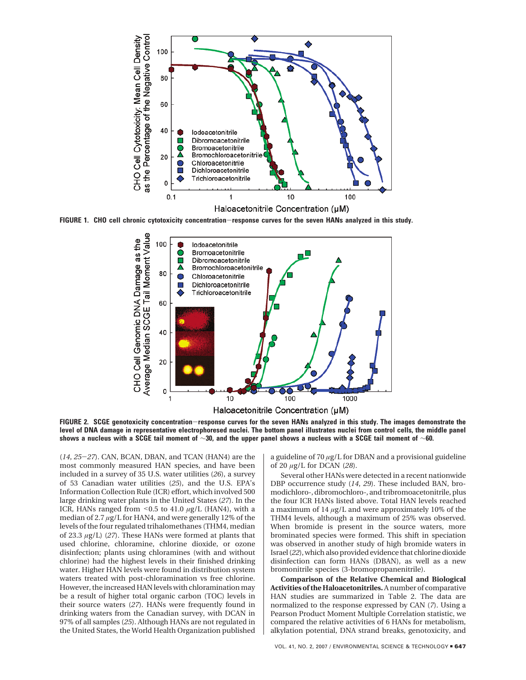

**FIGURE 1. CHO cell chronic cytotoxicity concentration**-**response curves for the seven HANs analyzed in this study.**



**FIGURE 2. SCGE genotoxicity concentration**-**response curves for the seven HANs analyzed in this study. The images demonstrate the level of DNA damage in representative electrophoresed nuclei. The bottom panel illustrates nuclei from control cells, the middle panel shows a nucleus with a SCGE tail moment of** ∼**30, and the upper panel shows a nucleus with a SCGE tail moment of** ∼**60.**

(*14*, *<sup>25</sup>*-*27*). CAN, BCAN, DBAN, and TCAN (HAN4) are the most commonly measured HAN species, and have been included in a survey of 35 U.S. water utilities (*26*), a survey of 53 Canadian water utilities (*25*), and the U.S. EPA's Information Collection Rule (ICR) effort, which involved 500 large drinking water plants in the United States (*27*). In the ICR, HANs ranged from  $\leq$ 0.5 to 41.0  $\mu$ g/L (HAN4), with a median of 2.7 *µ*g/L for HAN4, and were generally 12% of the levels of the four regulated trihalomethanes (THM4, median of 23.3 *µ*g/L) (*27*). These HANs were formed at plants that used chlorine, chloramine, chlorine dioxide, or ozone disinfection; plants using chloramines (with and without chlorine) had the highest levels in their finished drinking water. Higher HAN levels were found in distribution system waters treated with post-chloramination vs free chlorine. However, the increased HAN levels with chloramination may be a result of higher total organic carbon (TOC) levels in their source waters (*27*). HANs were frequently found in drinking waters from the Canadian survey, with DCAN in 97% of all samples (*25*). Although HANs are not regulated in the United States, the World Health Organization published

a guideline of 70 *µ*g/L for DBAN and a provisional guideline of 20 *µ*g/L for DCAN (*28*).

Several other HANs were detected in a recent nationwide DBP occurrence study (*14*, *29*). These included BAN, bromodichloro-, dibromochloro-, and tribromoacetonitrile, plus the four ICR HANs listed above. Total HAN levels reached a maximum of 14 *µ*g/L and were approximately 10% of the THM4 levels, although a maximum of 25% was observed. When bromide is present in the source waters, more brominated species were formed. This shift in speciation was observed in another study of high bromide waters in Israel (*22*), which also provided evidence that chlorine dioxide disinfection can form HANs (DBAN), as well as a new bromonitrile species (3-bromopropanenitrile).

**Comparison of the Relative Chemical and Biological Activities of the Haloacetonitriles.** A number of comparative HAN studies are summarized in Table 2. The data are normalized to the response expressed by CAN (*7*). Using a Pearson Product Moment Multiple Correlation statistic, we compared the relative activities of 6 HANs for metabolism, alkylation potential, DNA strand breaks, genotoxicity, and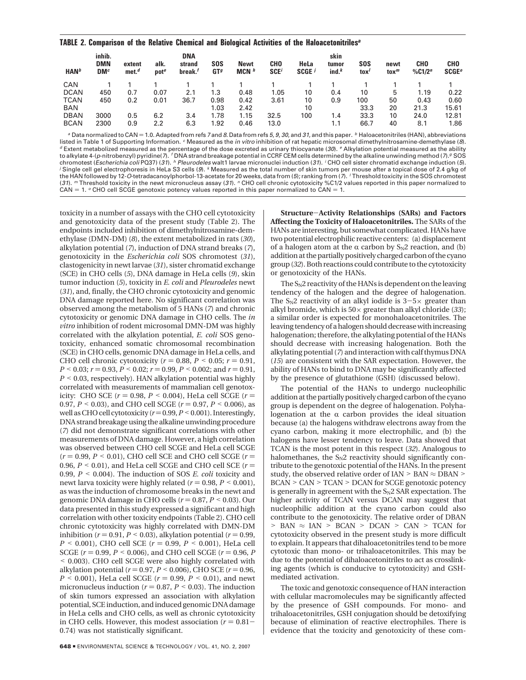## **TABLE 2. Comparison of the Relative Chemical and Biological Activities of the Haloacetonitriles***<sup>a</sup>*

|             | inhib.                        |                             |                 | <b>DNA</b>                   |                               |                                 |                       |                | skin          |                    |                          |                      |                                       |
|-------------|-------------------------------|-----------------------------|-----------------|------------------------------|-------------------------------|---------------------------------|-----------------------|----------------|---------------|--------------------|--------------------------|----------------------|---------------------------------------|
| $HAN^b$     | <b>DMN</b><br>DM <sup>c</sup> | extent<br>met. <sup>d</sup> | alk.<br>$pot^e$ | strand<br>break <sup>f</sup> | <b>SOS</b><br>GT <sup>g</sup> | <b>Newt</b><br>MCN <sup>h</sup> | <b>CHO</b><br>$SCE^i$ | HeLa<br>SCGE / | tumor<br>ind. | <b>SOS</b><br>tox' | newt<br>$\mathbf{tox}^m$ | <b>CHO</b><br>%C1/2" | <b>CHO</b><br><b>SCGE<sup>o</sup></b> |
| CAN         |                               |                             |                 |                              |                               |                                 |                       |                |               |                    |                          |                      |                                       |
| <b>DCAN</b> | 450                           | 0.7                         | 0.07            | 2.1                          | 1.3                           | 0.48                            | 1.05                  | 10             | 0.4           | 10                 | 5                        | 1.19                 | 0.22                                  |
| <b>TCAN</b> | 450                           | 0.2                         | 0.01            | 36.7                         | 0.98                          | 0.42                            | 3.61                  | 10             | 0.9           | 100                | 50                       | 0.43                 | 0.60                                  |
| <b>BAN</b>  |                               |                             |                 |                              | 1.03                          | 2.42                            |                       | 10             |               | 33.3               | 20                       | 21.3                 | 15.61                                 |
| <b>DBAN</b> | 3000                          | 0.5                         | 6.2             | 3.4                          | 1.78                          | 1.15                            | 32.5                  | 100            | 1.4           | 33.3               | 10                       | 24.0                 | 12.81                                 |
| <b>BCAN</b> | 2300                          | 0.9                         | 2.2             | 6.3                          | 1.92                          | 0.46                            | 13.0                  |                | 1.1           | 66.7               | 40                       | 8.1                  | 1.86                                  |

<sup>a</sup> Data normalized to CAN = 1.0. Adapted from refs 7 and 8. Data from refs 5, 9, 30, and 31, and this paper.  $<sup>b</sup>$  Haloacetonitriles (HAN), abbreviations</sup> listed in Table 1 of Supporting Information. <sup>c</sup> Measured as the in vitro inhibition of rat hepatic microsomal dimethylnitrosamine-demethylase (8).  $d$  Extent metabolized measured as the percentage of the dose excreted as urinary thiocyanate (30).  $e$  Alkylation potential measured as the ability to alkylate 4-(p-nitrobenzyl) pyridine(7). <sup>f</sup> DNA strand breakage potential in CCRF CEM cells determined by the alkaline unwinding method (7). <sup>g</sup> SOS chromotest (Escherichia coli PQ37) (31). <sup>h</sup> Pleurodeles walt1 larvae micronuclei induction (31). <sup>*i*</sup> CHO cell sister chromatid exchange induction (5). <sup>j</sup> Single cell gel electrophoresis in HeLa S3 cells (9). <sup>k</sup> Measured as the total number of skin tumors per mouse after a topical dose of 2.4 g/kg of the HAN followed by 12-O-tetradacanoylphorbol-13-acetate for 20 weeks, data from (5); ranking from (7). *'* Threshold toxicity in the SOS chromotest (31). m Threshold toxicity in the newt micronucleus assay (31). n CHO cell chronic cytotoxicity %C1/2 values reported in this paper normalized to  $CAN = 1.$   $\degree$  CHO cell SCGE genotoxic potency values reported in this paper normalized to CAN = 1.

toxicity in a number of assays with the CHO cell cytotoxicity and genotoxicity data of the present study (Table 2). The endpoints included inhibition of dimethylnitrosamine-demethylase (DMN-DM) (*8*), the extent metabolized in rats (*30*), alkylation potential (*7*), induction of DNA strand breaks (*7*), genotoxicity in the *Escherichia coli* SOS chromotest (*31*), clastogenicity in newt larvae (*31*), sister chromatid exchange (SCE) in CHO cells (*5*), DNA damage in HeLa cells (*9*), skin tumor induction (*5*), toxicity in *E. coli* and *Pleurodeles* newt (*31*), and, finally, the CHO chronic cytotoxicity and genomic DNA damage reported here. No significant correlation was observed among the metabolism of 5 HANs (*7*) and chronic cytotoxicity or genomic DNA damage in CHO cells. The *in vitro* inhibition of rodent microsomal DMN-DM was highly correlated with the alkylation potential, *E. coli* SOS genotoxicity, enhanced somatic chromosomal recombination (SCE) in CHO cells, genomic DNA damage in HeLa cells, and CHO cell chronic cytotoxicity ( $r = 0.88$ ,  $P < 0.05$ ;  $r = 0.91$ ,  $P < 0.03$ ;  $r = 0.93$ ,  $P < 0.02$ ;  $r = 0.99$ ,  $P < 0.002$ ; and  $r = 0.91$ , *<sup>P</sup>* < 0.03, respectively). HAN alkylation potential was highly correlated with measurements of mammalian cell genotoxicity: CHO SCE  $(r = 0.98, P < 0.004)$ , HeLa cell SCGE  $(r = 1.98, P < 0.004)$ 0.97,  $P < 0.03$ ), and CHO cell SCGE ( $r = 0.97$ ,  $P < 0.006$ ), as well as CHO cell cytotoxicity  $(r=0.99, P \le 0.001)$ . Interestingly, DNA strand breakage using the alkaline unwinding procedure (*7*) did not demonstrate significant correlations with other measurements of DNA damage. However, a high correlation was observed between CHO cell SCGE and HeLa cell SCGE  $(r = 0.99, P \le 0.01)$ , CHO cell SCE and CHO cell SCGE  $(r = 0.99, P \le 0.01)$ 0.96,  $P < 0.01$ ), and HeLa cell SCGE and CHO cell SCE ( $r =$ 0.99, *<sup>P</sup>* < 0.004). The induction of SOS *E. coli* toxicity and newt larva toxicity were highly related  $(r = 0.98, P \le 0.001)$ , as was the induction of chromosome breaks in the newt and genomic DNA damage in CHO cells  $(r = 0.87, P \le 0.03)$ . Our data presented in this study expressed a significant and high correlation with other toxicity endpoints (Table 2). CHO cell chronic cytotoxicity was highly correlated with DMN-DM inhibition ( $r = 0.91$ ,  $P < 0.03$ ), alkylation potential ( $r = 0.99$ , *<sup>P</sup>* < 0.001), CHO cell SCE (*<sup>r</sup>* ) 0.99, *<sup>P</sup>* < 0.001), HeLa cell SCGE ( $r = 0.99$ ,  $P < 0.006$ ), and CHO cell SCGE ( $r = 0.96$ , *P* < 0.003). CHO cell SCGE were also highly correlated with alkylation potential ( $r = 0.97, P \le 0.006$ ), CHO SCE ( $r = 0.96$ ,  $P < 0.001$ ), HeLa cell SCGE ( $r = 0.99$ ,  $P < 0.01$ ), and newt micronucleus induction ( $r = 0.87$ ,  $P \le 0.03$ ). The induction of skin tumors expressed an association with alkylation potential, SCE induction, and induced genomic DNA damage in HeLa cells and CHO cells, as well as chronic cytotoxicity in CHO cells. However, this modest association  $(r = 0.81 -$ 0.74) was not statistically significant.

**Structure**-**Activity Relationships (SARs) and Factors Affecting the Toxicity of Haloacetonitriles.** The SARs of the HANs are interesting, but somewhat complicated. HANs have two potential electrophilic reactive centers: (a) displacement of a halogen atom at the  $\alpha$  carbon by  $S_N2$  reaction, and (b) addition at the partially positively charged carbon of the cyano group (*32*). Both reactions could contribute to the cytotoxicity or genotoxicity of the HANs.

The  $S_N$ 2 reactivity of the HANs is dependent on the leaving tendency of the halogen and the degree of halogenation. The  $S_N2$  reactivity of an alkyl iodide is  $3-5\times$  greater than alkyl bromide, which is  $50 \times$  greater than alkyl chloride (33); a similar order is expected for monohaloacetonitriles. The leaving tendency of a halogen should decrease with increasing halogenation; therefore, the alkylating potential of the HANs should decrease with increasing halogenation. Both the alkylating potential (*7*) and interaction with calf thymus DNA (*15*) are consistent with the SAR expectation. However, the ability of HANs to bind to DNA may be significantly affected by the presence of glutathione (GSH) (discussed below).

The potential of the HANs to undergo nucleophilic addition at the partially positively charged carbon of the cyano group is dependent on the degree of halogenation. Polyhalogenation at the  $\alpha$  carbon provides the ideal situation because (a) the halogens withdraw electrons away from the cyano carbon, making it more electrophilic, and (b) the halogens have lesser tendency to leave. Data showed that TCAN is the most potent in this respect (*32*). Analogous to halomethanes, the  $S_N2$  reactivity should significantly contribute to the genotoxic potential of the HANs. In the present study, the observed relative order of  $IAN > BAN \approx DBAN >$ BCAN > CAN > TCAN > DCAN for SCGE genotoxic potency is generally in agreement with the  $S_N2$  SAR expectation. The higher activity of TCAN versus DCAN may suggest that nucleophilic addition at the cyano carbon could also contribute to the genotoxicity. The relative order of DBAN  $>$  BAN  $\approx$  IAN  $>$  BCAN  $>$  DCAN  $>$  CAN  $>$  TCAN for cytotoxicity observed in the present study is more difficult to explain. It appears that dihaloacetonitriles tend to be more cytotoxic than mono- or trihaloacetonitriles. This may be due to the potential of dihaloacetonitriles to act as crosslinking agents (which is conducive to cytotoxicity) and GSHmediated activation.

The toxic and genotoxic consequence of HAN interaction with cellular macromolecules may be significantly affected by the presence of GSH compounds. For mono- and trihaloacetonitriles, GSH conjugation should be detoxifying because of elimination of reactive electrophiles. There is evidence that the toxicity and genotoxicity of these com-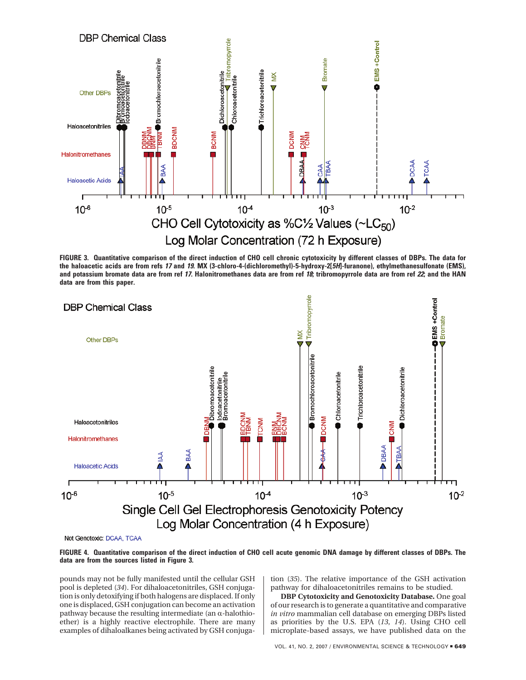

**FIGURE 3. Quantitative comparison of the direct induction of CHO cell chronic cytotoxicity by different classes of DBPs. The data for the haloacetic acids are from refs <sup>17</sup> and 19. MX (3-chloro-4-(dichloromethyl)-5-hydroxy-2[5H]-furanone), ethylmethanesulfonate (EMS), and potassium bromate data are from ref <sup>17</sup>. Halonitromethanes data are from ref 18; tribromopyrrole data are from ref 22; and the HAN data are from this paper.**



Not Genotoxic: DCAA, TCAA

**FIGURE 4. Quantitative comparison of the direct induction of CHO cell acute genomic DNA damage by different classes of DBPs. The data are from the sources listed in Figure 3.**

pounds may not be fully manifested until the cellular GSH pool is depleted (*34*). For dihaloacetonitriles, GSH conjugation is only detoxifying if both halogens are displaced. If only one is displaced, GSH conjugation can become an activation pathway because the resulting intermediate (an  $\alpha$ -halothioether) is a highly reactive electrophile. There are many examples of dihaloalkanes being activated by GSH conjugation (*35*). The relative importance of the GSH activation pathway for dihaloacetonitriles remains to be studied.

**DBP Cytotoxicity and Genotoxicity Database.** One goal of our research is to generate a quantitative and comparative *in vitro* mammalian cell database on emerging DBPs listed as priorities by the U.S. EPA (*13*, *14*). Using CHO cell microplate-based assays, we have published data on the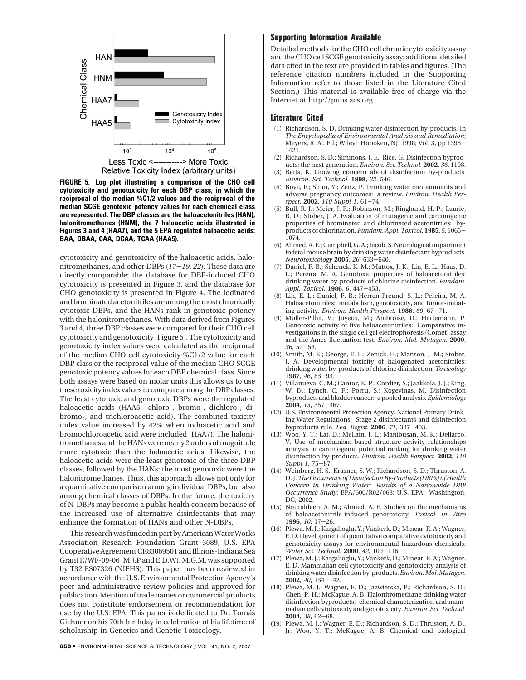

Relative Toxicity Index (arbitrary units)

**FIGURE 5. Log plot illustrating a comparison of the CHO cell cytotoxicity and genotoxicity for each DBP class, in which the reciprocal of the median %C1/2 values and the reciprocal of the median SCGE genotoxic potency values for each chemical class are represented. The DBP classes are the haloacetonitriles (HAN), halonitromethanes (HNM), the 7 haloacetic acids illustrated in Figures 3 and 4 (HAA7), and the 5 EPA regulated haloacetic acids: BAA, DBAA, CAA, DCAA, TCAA (HAA5).**

cytotoxicity and genotoxicity of the haloacetic acids, halonitromethanes, and other DBPs (*17*-*19*, *<sup>22</sup>*). These data are directly comparable; the database for DBP-induced CHO cytotoxicity is presented in Figure 3, and the database for CHO genotoxicity is presented in Figure 4. The iodinated and brominated acetonitriles are among the most chronically cytotoxic DBPs, and the HANs rank in genotoxic potency with the halonitromethanes. With data derived from Figures 3 and 4, three DBP classes were compared for their CHO cell cytotoxicity and genotoxicity (Figure 5). The cytotoxicity and genotoxicity index values were calculated as the reciprocal of the median CHO cell cytotoxicity %C1/2 value for each DBP class or the reciprocal value of the median CHO SCGE genotoxic potency values for each DBP chemical class. Since both assays were based on molar units this allows us to use these toxicity index values to compare among the DBP classes. The least cytotoxic and genotoxic DBPs were the regulated haloacetic acids (HAA5: chloro-, bromo-, dichloro-, dibromo-, and trichloroacetic acid). The combined toxicity index value increased by 42% when iodoacetic acid and bromochloroacetic acid were included (HAA7). The halonitromethanes and the HANs were nearly 2 orders of magnitude more cytotoxic than the haloacetic acids. Likewise, the haloacetic acids were the least genotoxic of the three DBP classes, followed by the HANs; the most genotoxic were the halonitromethanes. Thus, this approach allows not only for a quantitative comparison among individual DBPs, but also among chemical classes of DBPs. In the future, the toxicity of N-DBPs may become a public health concern because of the increased use of alternative disinfectants that may enhance the formation of HANs and other N-DBPs.

This research was funded in part by American Water Works Association Research Foundation Grant 3089, U.S. EPA Cooperative Agreement CR83069501 and Illinois-Indiana Sea Grant R/WF-09-06 (M.J.P and E.D.W). M.G.M. was supported by T32 ES07326 (NIEHS). This paper has been reviewed in accordance with the U.S. Environmental Protection Agency's peer and administrative review policies and approved for publication. Mention of trade names or commercial products does not constitute endorsement or recommendation for use by the U.S. EPA. This paper is dedicated to Dr. Tomáš Gichner on his 70th birthday in celebration of his lifetime of scholarship in Genetics and Genetic Toxicology.

Detailed methods for the CHO cell chronic cytotoxicity assay and the CHO cell SCGE genotoxicity assay; additional detailed data cited in the text are provided in tables and figures. (The reference citation numbers included in the Supporting Information refer to those listed in the Literature Cited Section.) This material is available free of charge via the Internet at http://pubs.acs.org.

# **Literature Cited**

- (1) Richardson, S. D. Drinking water disinfection by-products. In *The Encyclopedia of Environmental Analysis and Remediation*; Meyers, R. A., Ed.; Wiley: Hoboken, NJ, 1998; Vol. 3, pp 1398- 1421.
- (2) Richardson, S. D.; Simmons, J. E.; Rice, G. Disinfection byproducts; the next generation. *Environ. Sci. Technol.* **2002**, *36*, 1198.
- (3) Betts, K. Growing concern about disinfection by-products. *Environ. Sci. Technol.* **1998**, *32*, 546.
- (4) Bove, F.; Shim, Y.; Zeitz, P. Drinking water contaminants and adverse pregnancy outcomes: a review. *Environ. Health Perspect.* **<sup>2002</sup>**, *110 Suppl 1*, 61-74.
- (5) Bull, R. J.; Meier, J. R.; Robinson, M.; Ringhand, H. P.; Laurie, R. D.; Stober, J. A. Evaluation of mutagenic and carcinogenic properties of brominated and chlorinated acetonitriles: byproducts of chlorination. *Fundam. Appl. Toxicol.* **<sup>1985</sup>**, *<sup>5</sup>*, 1065- 1074.
- (6) Ahmed, A. E.; Campbell, G. A.; Jacob, S. Neurological impairment in fetal mouse brain by drinking water disinfectant byproducts. *Neurotoxicology* **<sup>2005</sup>**, *<sup>26</sup>*, 633-640.
- (7) Daniel, F. B.; Schenck, K. M.; Mattox, J. K.; Lin, E. L.; Haas, D. L.; Pereira, M. A. Genotoxic properties of haloacetonitriles: drinking water by-products of chlorine disinfection. *Fundam. Appl. Toxicol.* **<sup>1986</sup>**, *<sup>6</sup>*, 447-453.
- (8) Lin, E. L.; Daniel, F. B.; Herren-Freund, S. L.; Pereira, M. A. Haloacetonitriles: metabolism, genotoxicity, and tumor-initiating activity. *Environ. Health Perspect.* **<sup>1986</sup>**, *<sup>69</sup>*, 67-71.
- (9) Muller-Pillet, V.; Joyeux, M.; Ambroise, D.; Hartemann, P. Genotoxic activity of five haloacetonitriles: Comparative investigations in the single cell gel electrophoresis (Comet) assay and the Ames-fluctuation test. *Environ. Mol. Mutagen.* **2000**,
- *<sup>36</sup>*, 52-58. (10) Smith, M. K.; George, E. L.; Zenick, H.; Manson, J. M.; Stober, J. A. Developmental toxicity of halogenated acetonitriles: drinking water by-products of chlorine disinfection. *Toxicology* **<sup>1987</sup>**, *<sup>46</sup>*, 83-93.
- (11) Villanueva, C. M.; Cantor, K. P.; Cordier, S.; Jaakkola, J. J.; King, W. D.; Lynch, C. F.; Porru, S.; Kogevinas, M. Disinfection byproducts and bladder cancer: a pooled analysis.*Epidemiology*
- **<sup>2004</sup>**, *<sup>15</sup>*, 357-367. (12) U.S. Environmental Protection Agency. National Primary Drinking Water Regulations: Stage 2 disinfectants and disinfection byproducts rule. *Fed. Regist.* **<sup>2006</sup>**, *<sup>71</sup>*, 387-493.
- (13) Woo, Y. T.; Lai, D.; McLain, J. L.; Manibusan, M. K.; Dellarco, V. Use of mechanism-based structure-activity relationships analysis in carcinogenic potential ranking for drinking water disinfection by-products. *Environ. Health Perspect.* **2002**, *110*
- *Suppl 1*, 75-87. (14) Weinberg, H. S.; Krasner, S. W.; Richardson, S. D.; Thruston, A. D. J. *The Occurrence of Disinfection By-Products (DBPs) of Health Concern in Drinking Water: Results of a Nationwide DBP Occurrence Study*; EPA/600/R02/068; U.S. EPA: Washington, DC, 2002.
- (15) Nouraldeen, A. M.; Ahmed, A. E. Studies on the mechanisms of haloacetonitrile-induced genotoxicity. *Toxicol. in Vitro*
- **<sup>1996</sup>**, *<sup>10</sup>*, 17-26. (16) Plewa, M. J.; Kargalioglu, Y.; Vankerk, D.; Minear, R. A.; Wagner, E. D. Development of quantitative comparative cytotoxicity and genotoxicity assays for environmental hazardous chemicals. *Water Sci. Technol.* **<sup>2000</sup>**, *<sup>42</sup>*, 109-116.
- (17) Plewa, M. J.; Kargalioglu, Y.; Vankerk, D.; Minear, R. A.; Wagner, E. D. Mammalian cell cytotoxicity and genotoxicity analysis of drinking water disinfection by-products. *Environ. Mol. Mutagen.* **<sup>2002</sup>**, *<sup>40</sup>*, 134-142.
- (18) Plewa, M. J.; Wagner, E. D.; Jazwierska, P.; Richardson, S. D.; Chen, P. H.; McKague, A. B. Halonitromethane drinking water disinfection byproducts: chemical characterization and mammalian cell cytotoxicity and genotoxicity. *Environ. Sci. Technol.* **<sup>2004</sup>**, *<sup>38</sup>*, 62-68.
- Plewa, M. J.; Wagner, E. D.; Richardson, S. D.; Thruston, A. D., Jr; Woo, Y. T.; McKague, A. B. Chemical and biological